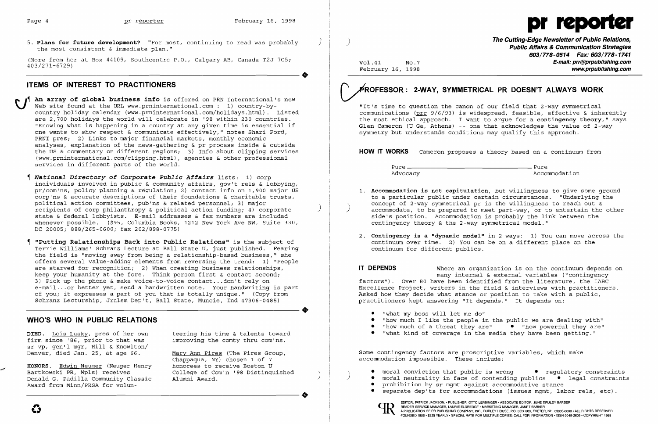

5. Plans for future development? "For most, continuing to read was probably the most consistent & immediate plan."

(More from her at Box 44109, Southcentre P.O., Calgary AB, Canada T2J 7C5;<br>403/271-6729)<br>TEMS OF INTEREST TO PRACTITIONERS 403/271-6729)

# **ITEMS OF INTEREST TO PRACTITIONERS**

An array of global business info is offered on PRN International's new Web site found at the URL www.prninternational.com: 1) country-bycountry holiday calendar (www.prninternational.com/holidays.html). Listed are 2,700 holidays the world will celebrate in '98 within 230 countries. "Knowing what is happening in a country at any given time is essential if one wants to show respect & communicate effectively," notes Shari Ford, PRNI pres; 2) Links to major financial markets, monthly economic analyses, explanation of the news-gathering & pr process inside & outside the US & commentary on different regions; 3) Info about clipping services (www.prninternational.com/clipping.html), agencies & other professional services in different parts of the world.

- *National Directory of Corporate Public Affairs* lists: 1) corp individuals involved in public & community affairs, gov't rels & lobbying, pr/com'ns, policy planning & regulation; 2) contact info on 1,900 major US corp'ns & accurate descriptions of their foundations & charitable trusts, political action committees, pub'ns & related personnel; 3) major recipients of corp philanthropy & political action funding; 4) corporate ) state & federal lobbyists. E-mail addresses & fax numbers are included whenever possible. (\$95, Columbia Books, 1212 New York Ave NW, Suite 330, DC 20005; 888/265-0600; fax 202/898-0775)
- **"Putting Relationships Back into Public Relations"** is the subject of Terrie Williams' Schranz Lecture at Ball State U, just published. Fearing the field is "moving away from being a relationship-based business," she offers several value-adding elements from reversing the trend: 1) "People are starved for recognition; 2) When creating business relationships, keep your humanity at the fore. Think person first & contact second; 3) pick up the phone & make voice-to-voice contact ... don't rely on e-mail... or better yet, send a handwritten note. Your handwriting is part of you; it expresses a part of you that is totally unique." (Copy from Schranz Lecturship, Jrnlsm Dep't, Ball State, Muncie, Ind 47306-0485) of you; it expresses a part of you that is totally unique." (Copy from<br>Schranz Lecturship, Jrnlsm Dep't, Ball State, Muncie, Ind 47306-0485)

**DIED.** Lois Lusky, pres of her own teering his time & talents toward firm since '86, prior to that was improving the comty thru com'ns. firm since '86, prior to that was sr vp, gen'l mgr, Hill & Knowlton/ Denver, died Jan. 25, at age 66. Mary Ann Pires (The Pires Group,

Chappaqua, NY) chosen 1 of 7 Alumni Award.



~:/' **HONORS.** Edwin Neuger (Neuger Henry honorees to receive Boston U Donald G. Padilla Community Classic Award from Minn/PRSA for volun Donald G. Padilla Community Classic Alumni Award.<br>Award from Minn/PRSA for volun-

**The Cutting-Edge Newsletter of Public Relations,** ) **Public Affairs & Communication Strategies 603/778-0514 Fax: 603/778-1741**  Vol.41 No.7 **E-mail: prr@prpublishing.com**  www.prpublishing.com

Advocacy and the commodation and accommodation

**1. Accommodation is not capitulation,** but willingness to give some ground to a particular public under certain circumstances. "Underlying the concept of 2-way symmetrical pr is the willingness to reach out & accommodate, to be prepared to meet part-way, or to entertain the other

**IT DEPENDS** Where an organization is on the continuum depends on many internal & external variables ("contingency factors"). Over 80 have been identified from the literature, the IABC Excellence Project, writers in the field & interviews with practitioners. Asked how they decide what stance or position to take with a public, practitioners kept answering "It depends." It depends on:

# **WHO'S WHO IN PUBLIC RELATIONS**

~ROFESSOR: **2-WAY, SYMMETRICAL PR DOESN'T ALWAYS WORK** 

"It's time to question the canon of our field that 2-way symmetrical communications (prr 9/6/93) is widespread, feasible, effective & inherently the most ethical approach. I want to argue for a **contingency theory,"** says Glen Cameron (U Ga, Athens) -- one that acknowledges the value of 2-way symmetry but understands conditions may qualify this approach.

**HOW IT WORKS** Cameron proposes a theory based on a continuum from

Pure Pure

- side's position. Accommodation is probably the link between the contingency theory & the 2-way symmetrical model."
- continuum over time. 2) You can be on a different place on the continuum for different publics.

2. **Contingency is a "dynamic model"** in 2 ways: 1) You can move across the

• "how much I like the people in the public we are dealing with"<br>• "how much of a threat they are" • "how powerful they are"

• moral conviction that public is wrong • regulatory constraints<br>• moral neutrality in face of contending publics • legal constraints separate dep'ts for accommodations (issues mgmt, labor rels, etc).

- • "what my boss will let me do"
- 
- $\bullet$  "how much of a threat they are"
- • "what kind of coverage in the media they have been getting."

Some contingency factors are proscriptive variables, which make accommodation impossible. These include:

- 
- 
- prohibition by sr mgmt against accommodative stance
	-